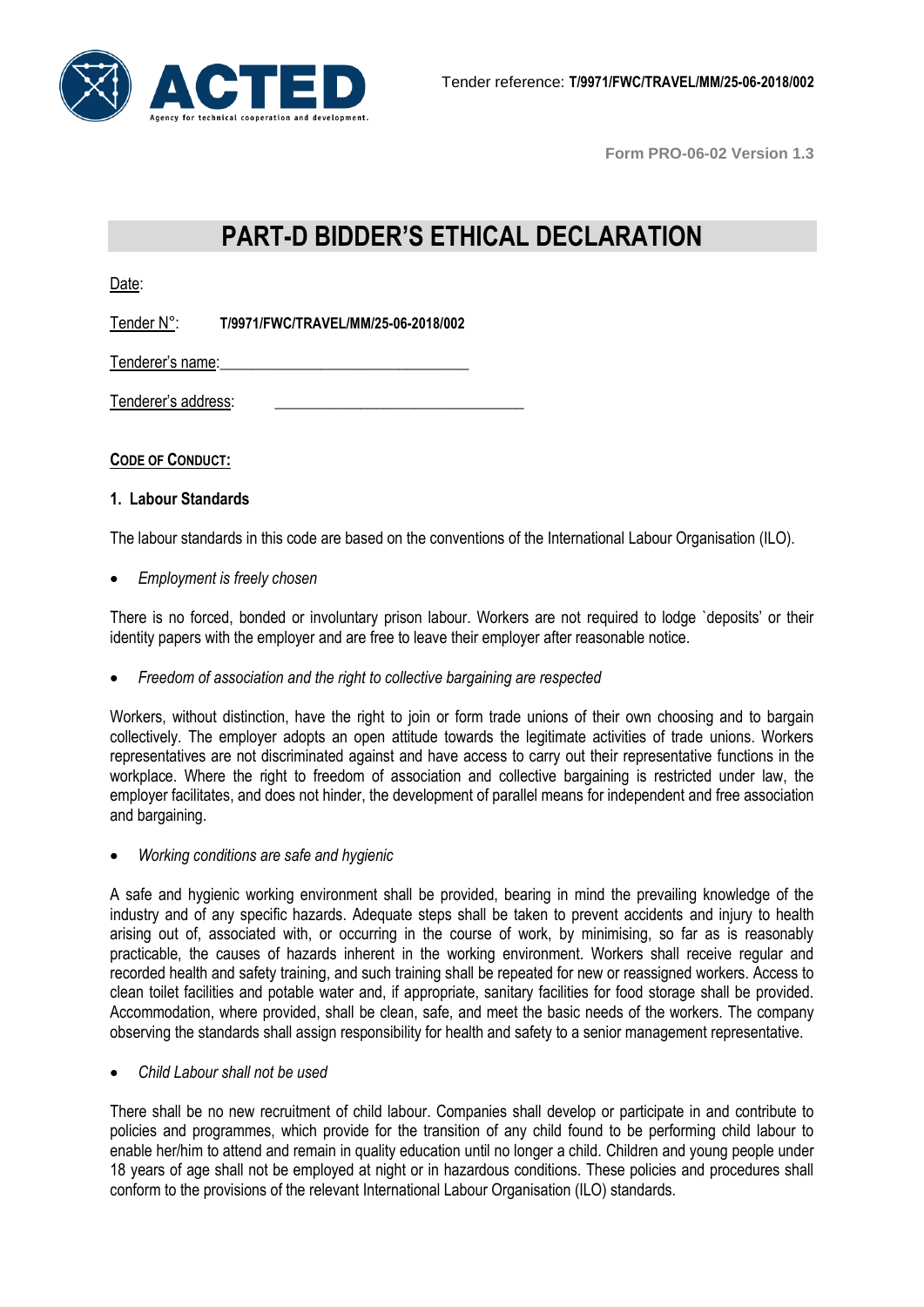

# **PART-D BIDDER'S ETHICAL DECLARATION**

Date:

Tender N°: **T/9971/FWC/TRAVEL/MM/25-06-2018/002** 

Tenderer's name:

Tenderer's address:

**CODE OF CONDUCT:**

#### **1. Labour Standards**

The labour standards in this code are based on the conventions of the International Labour Organisation (ILO).

*Employment is freely chosen*

There is no forced, bonded or involuntary prison labour. Workers are not required to lodge `deposits' or their identity papers with the employer and are free to leave their employer after reasonable notice.

*Freedom of association and the right to collective bargaining are respected*

Workers, without distinction, have the right to join or form trade unions of their own choosing and to bargain collectively. The employer adopts an open attitude towards the legitimate activities of trade unions. Workers representatives are not discriminated against and have access to carry out their representative functions in the workplace. Where the right to freedom of association and collective bargaining is restricted under law, the employer facilitates, and does not hinder, the development of parallel means for independent and free association and bargaining.

*Working conditions are safe and hygienic*

A safe and hygienic working environment shall be provided, bearing in mind the prevailing knowledge of the industry and of any specific hazards. Adequate steps shall be taken to prevent accidents and injury to health arising out of, associated with, or occurring in the course of work, by minimising, so far as is reasonably practicable, the causes of hazards inherent in the working environment. Workers shall receive regular and recorded health and safety training, and such training shall be repeated for new or reassigned workers. Access to clean toilet facilities and potable water and, if appropriate, sanitary facilities for food storage shall be provided. Accommodation, where provided, shall be clean, safe, and meet the basic needs of the workers. The company observing the standards shall assign responsibility for health and safety to a senior management representative.

*Child Labour shall not be used*

There shall be no new recruitment of child labour. Companies shall develop or participate in and contribute to policies and programmes, which provide for the transition of any child found to be performing child labour to enable her/him to attend and remain in quality education until no longer a child. Children and young people under 18 years of age shall not be employed at night or in hazardous conditions. These policies and procedures shall conform to the provisions of the relevant International Labour Organisation (ILO) standards.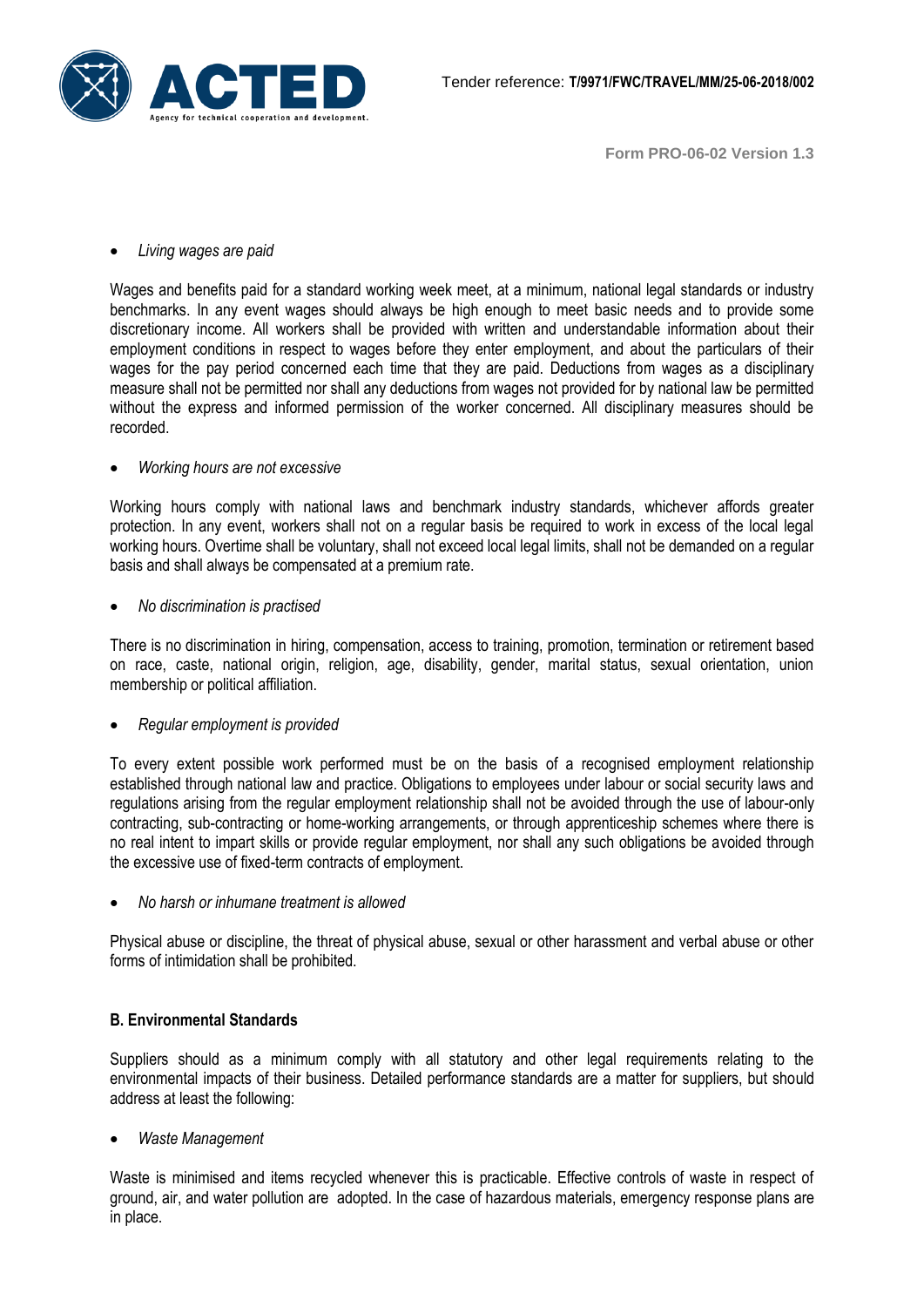

## *Living wages are paid*

Wages and benefits paid for a standard working week meet, at a minimum, national legal standards or industry benchmarks. In any event wages should always be high enough to meet basic needs and to provide some discretionary income. All workers shall be provided with written and understandable information about their employment conditions in respect to wages before they enter employment, and about the particulars of their wages for the pay period concerned each time that they are paid. Deductions from wages as a disciplinary measure shall not be permitted nor shall any deductions from wages not provided for by national law be permitted without the express and informed permission of the worker concerned. All disciplinary measures should be recorded.

#### *Working hours are not excessive*

Working hours comply with national laws and benchmark industry standards, whichever affords greater protection. In any event, workers shall not on a regular basis be required to work in excess of the local legal working hours. Overtime shall be voluntary, shall not exceed local legal limits, shall not be demanded on a regular basis and shall always be compensated at a premium rate.

## *No discrimination is practised*

There is no discrimination in hiring, compensation, access to training, promotion, termination or retirement based on race, caste, national origin, religion, age, disability, gender, marital status, sexual orientation, union membership or political affiliation.

#### *Regular employment is provided*

To every extent possible work performed must be on the basis of a recognised employment relationship established through national law and practice. Obligations to employees under labour or social security laws and regulations arising from the regular employment relationship shall not be avoided through the use of labour-only contracting, sub-contracting or home-working arrangements, or through apprenticeship schemes where there is no real intent to impart skills or provide regular employment, nor shall any such obligations be avoided through the excessive use of fixed-term contracts of employment.

*No harsh or inhumane treatment is allowed*

Physical abuse or discipline, the threat of physical abuse, sexual or other harassment and verbal abuse or other forms of intimidation shall be prohibited.

# **B. Environmental Standards**

Suppliers should as a minimum comply with all statutory and other legal requirements relating to the environmental impacts of their business. Detailed performance standards are a matter for suppliers, but should address at least the following:

#### *Waste Management*

Waste is minimised and items recycled whenever this is practicable. Effective controls of waste in respect of ground, air, and water pollution are adopted. In the case of hazardous materials, emergency response plans are in place.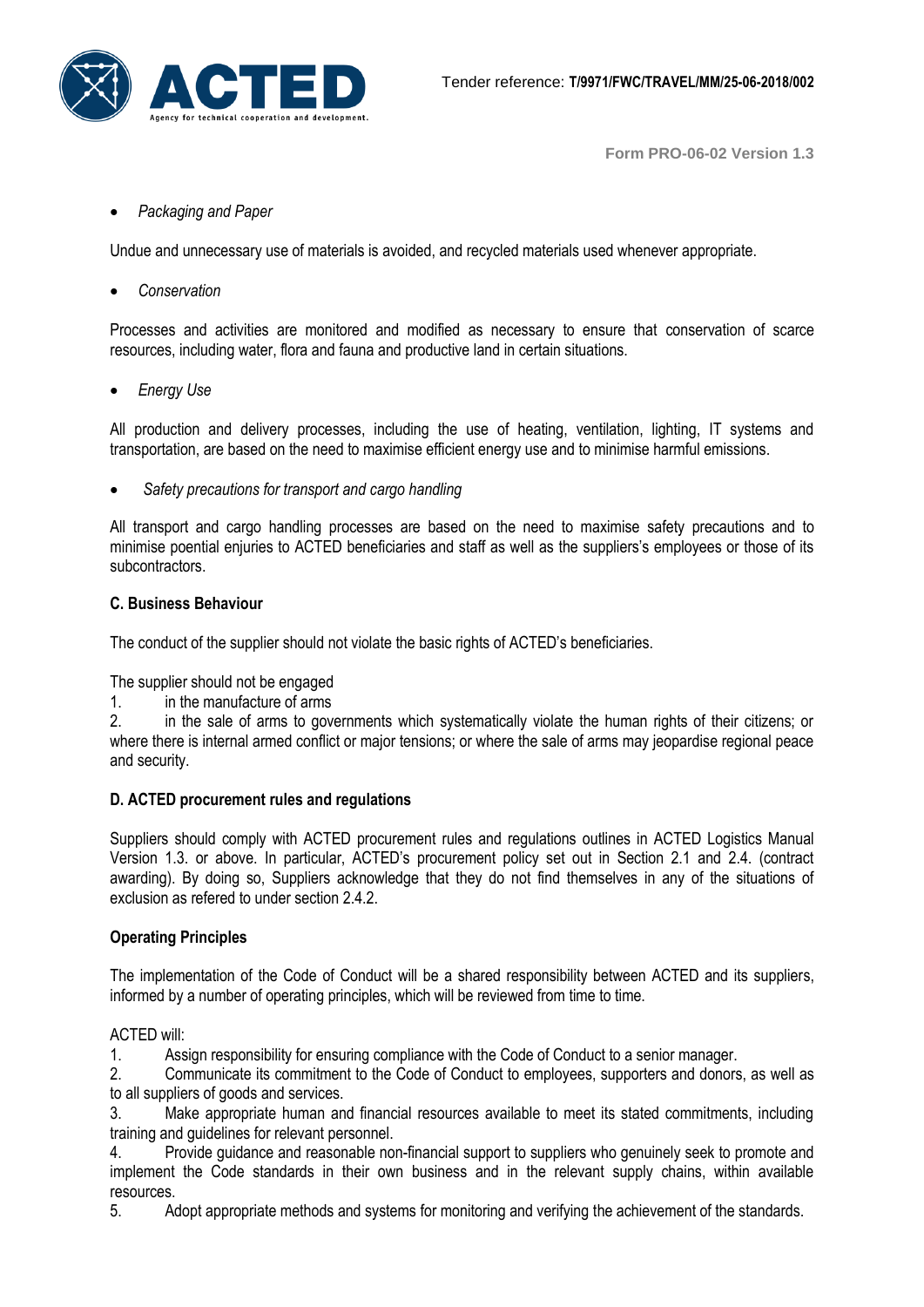

#### *Packaging and Paper*

Undue and unnecessary use of materials is avoided, and recycled materials used whenever appropriate.

*Conservation*

Processes and activities are monitored and modified as necessary to ensure that conservation of scarce resources, including water, flora and fauna and productive land in certain situations.

*Energy Use* 

All production and delivery processes, including the use of heating, ventilation, lighting, IT systems and transportation, are based on the need to maximise efficient energy use and to minimise harmful emissions.

*Safety precautions for transport and cargo handling*

All transport and cargo handling processes are based on the need to maximise safety precautions and to minimise poential enjuries to ACTED beneficiaries and staff as well as the suppliers's employees or those of its subcontractors.

# **C. Business Behaviour**

The conduct of the supplier should not violate the basic rights of ACTED's beneficiaries.

The supplier should not be engaged

1. in the manufacture of arms

2. in the sale of arms to governments which systematically violate the human rights of their citizens; or where there is internal armed conflict or major tensions; or where the sale of arms may jeopardise regional peace and security.

#### **D. ACTED procurement rules and regulations**

Suppliers should comply with ACTED procurement rules and regulations outlines in ACTED Logistics Manual Version 1.3. or above. In particular, ACTED's procurement policy set out in Section 2.1 and 2.4. (contract awarding). By doing so, Suppliers acknowledge that they do not find themselves in any of the situations of exclusion as refered to under section 2.4.2

# **Operating Principles**

The implementation of the Code of Conduct will be a shared responsibility between ACTED and its suppliers, informed by a number of operating principles, which will be reviewed from time to time.

#### ACTED will:

1. Assign responsibility for ensuring compliance with the Code of Conduct to a senior manager.

2. Communicate its commitment to the Code of Conduct to employees, supporters and donors, as well as to all suppliers of goods and services.

3. Make appropriate human and financial resources available to meet its stated commitments, including training and guidelines for relevant personnel.

4. Provide guidance and reasonable non-financial support to suppliers who genuinely seek to promote and implement the Code standards in their own business and in the relevant supply chains, within available resources.

5. Adopt appropriate methods and systems for monitoring and verifying the achievement of the standards.